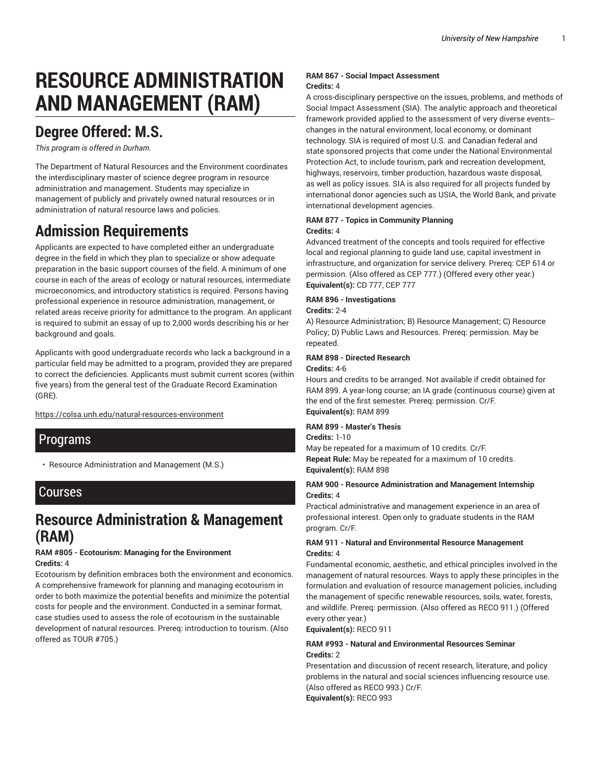# **RESOURCE ADMINISTRATION AND MANAGEMENT (RAM)**

## **Degree Offered: M.S.**

*This program is offered in Durham.*

The Department of Natural Resources and the Environment coordinates the interdisciplinary master of science degree program in resource administration and management. Students may specialize in management of publicly and privately owned natural resources or in administration of natural resource laws and policies.

## **Admission Requirements**

Applicants are expected to have completed either an undergraduate degree in the field in which they plan to specialize or show adequate preparation in the basic support courses of the field. A minimum of one course in each of the areas of ecology or natural resources, intermediate microeconomics, and introductory statistics is required. Persons having professional experience in resource administration, management, or related areas receive priority for admittance to the program. An applicant is required to submit an essay of up to 2,000 words describing his or her background and goals.

Applicants with good undergraduate records who lack a background in a particular field may be admitted to a program, provided they are prepared to correct the deficiencies. Applicants must submit current scores (within five years) from the general test of the Graduate Record Examination (GRE).

https://colsa.unh.edu/natural-resources-environment

### Programs

• Resource Administration and Management (M.S.)

### Courses

### **Resource Administration & Management (RAM)**

#### **RAM #805 - Ecotourism: Managing for the Environment Credits:** 4

Ecotourism by definition embraces both the environment and economics. A comprehensive framework for planning and managing ecotourism in order to both maximize the potential benefits and minimize the potential costs for people and the environment. Conducted in a seminar format, case studies used to assess the role of ecotourism in the sustainable development of natural resources. Prereq: introduction to tourism. (Also offered as TOUR #705.)

#### **RAM 867 - Social Impact Assessment Credits:** 4

A cross-disciplinary perspective on the issues, problems, and methods of Social Impact Assessment (SIA). The analytic approach and theoretical framework provided applied to the assessment of very diverse events- changes in the natural environment, local economy, or dominant technology. SIA is required of most U.S. and Canadian federal and state sponsored projects that come under the National Environmental Protection Act, to include tourism, park and recreation development, highways, reservoirs, timber production, hazardous waste disposal, as well as policy issues. SIA is also required for all projects funded by international donor agencies such as USIA, the World Bank, and private international development agencies.

#### **RAM 877 - Topics in Community Planning Credits:** 4

Advanced treatment of the concepts and tools required for effective local and regional planning to guide land use, capital investment in infrastructure, and organization for service delivery. Prereq: CEP 614 or permission. (Also offered as CEP 777.) (Offered every other year.) **Equivalent(s):** CD 777, CEP 777

#### **RAM 896 - Investigations**

#### **Credits:** 2-4

A) Resource Administration; B) Resource Management; C) Resource Policy; D) Public Laws and Resources. Prereq: permission. May be repeated.

#### **RAM 898 - Directed Research**

#### **Credits:** 4-6

Hours and credits to be arranged. Not available if credit obtained for RAM 899. A year-long course; an IA grade (continuous course) given at the end of the first semester. Prereq: permission. Cr/F. **Equivalent(s):** RAM 899

#### **RAM 899 - Master's Thesis**

**Credits:** 1-10

May be repeated for a maximum of 10 credits. Cr/F. **Repeat Rule:** May be repeated for a maximum of 10 credits. **Equivalent(s):** RAM 898

#### **RAM 900 - Resource Administration and Management Internship Credits:** 4

Practical administrative and management experience in an area of professional interest. Open only to graduate students in the RAM program. Cr/F.

#### **RAM 911 - Natural and Environmental Resource Management Credits:** 4

Fundamental economic, aesthetic, and ethical principles involved in the management of natural resources. Ways to apply these principles in the formulation and evaluation of resource management policies, including the management of specific renewable resources, soils, water, forests, and wildlife. Prereq: permission. (Also offered as RECO 911.) (Offered every other year.)

**Equivalent(s):** RECO 911

#### **RAM #993 - Natural and Environmental Resources Seminar Credits:** 2

Presentation and discussion of recent research, literature, and policy problems in the natural and social sciences influencing resource use. (Also offered as RECO 993.) Cr/F. **Equivalent(s):** RECO 993